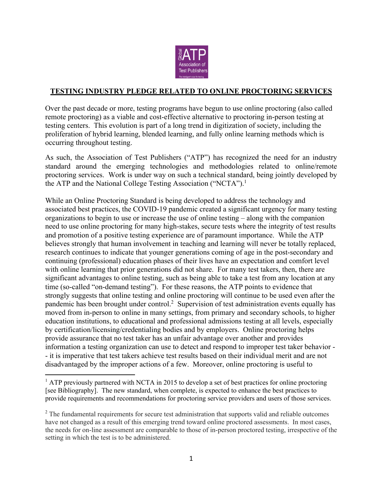

#### **TESTING INDUSTRY PLEDGE RELATED TO ONLINE PROCTORING SERVICES**

Over the past decade or more, testing programs have begun to use online proctoring (also called remote proctoring) as a viable and cost-effective alternative to proctoring in-person testing at testing centers. This evolution is part of a long trend in digitization of society, including the proliferation of hybrid learning, blended learning, and fully online learning methods which is occurring throughout testing.

As such, the Association of Test Publishers ("ATP") has recognized the need for an industry standard around the emerging technologies and methodologies related to online/remote proctoring services. Work is under way on such a technical standard, being jointly developed by the ATP and the National College Testing Association ("NCTA").<sup>1</sup>

While an Online Proctoring Standard is being developed to address the technology and associated best practices, the COVID-19 pandemic created a significant urgency for many testing organizations to begin to use or increase the use of online testing – along with the companion need to use online proctoring for many high-stakes, secure tests where the integrity of test results and promotion of a positive testing experience are of paramount importance. While the ATP believes strongly that human involvement in teaching and learning will never be totally replaced, research continues to indicate that younger generations coming of age in the post-secondary and continuing (professional) education phases of their lives have an expectation and comfort level with online learning that prior generations did not share. For many test takers, then, there are significant advantages to online testing, such as being able to take a test from any location at any time (so-called "on-demand testing"). For these reasons, the ATP points to evidence that strongly suggests that online testing and online proctoring will continue to be used even after the pandemic has been brought under control.<sup>2</sup> Supervision of test administration events equally has moved from in-person to online in many settings, from primary and secondary schools, to higher education institutions, to educational and professional admissions testing at all levels, especially by certification/licensing/credentialing bodies and by employers. Online proctoring helps provide assurance that no test taker has an unfair advantage over another and provides information a testing organization can use to detect and respond to improper test taker behavior - - it is imperative that test takers achieve test results based on their individual merit and are not disadvantaged by the improper actions of a few. Moreover, online proctoring is useful to

 $<sup>1</sup>$  ATP previously partnered with NCTA in 2015 to develop a set of best practices for online proctoring</sup> [see Bibliography]. The new standard, when complete, is expected to enhance the best practices to provide requirements and recommendations for proctoring service providers and users of those services.

<sup>&</sup>lt;sup>2</sup> The fundamental requirements for secure test administration that supports valid and reliable outcomes have not changed as a result of this emerging trend toward online proctored assessments. In most cases, the needs for on-line assessment are comparable to those of in-person proctored testing, irrespective of the setting in which the test is to be administered.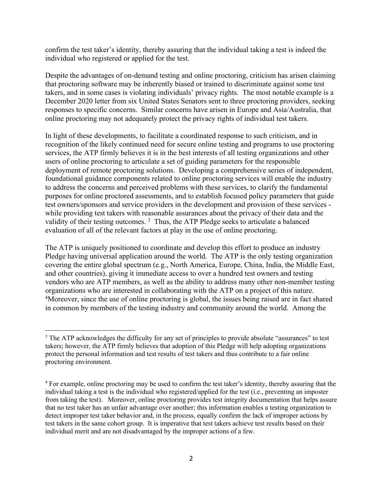confirm the test taker's identity, thereby assuring that the individual taking a test is indeed the individual who registered or applied for the test.

Despite the advantages of on-demand testing and online proctoring, criticism has arisen claiming that proctoring software may be inherently biased or trained to discriminate against some test takers, and in some cases is violating individuals' privacy rights. The most notable example is a December 2020 letter from six United States Senators sent to three proctoring providers, seeking responses to specific concerns. Similar concerns have arisen in Europe and Asia/Australia, that online proctoring may not adequately protect the privacy rights of individual test takers.

In light of these developments, to facilitate a coordinated response to such criticism, and in recognition of the likely continued need for secure online testing and programs to use proctoring services, the ATP firmly believes it is in the best interests of all testing organizations and other users of online proctoring to articulate a set of guiding parameters for the responsible deployment of remote proctoring solutions. Developing a comprehensive series of independent, foundational guidance components related to online proctoring services will enable the industry to address the concerns and perceived problems with these services, to clarify the fundamental purposes for online proctored assessments, and to establish focused policy parameters that guide test owners/sponsors and service providers in the development and provision of these services while providing test takers with reasonable assurances about the privacy of their data and the validity of their testing outcomes.  $3$  Thus, the ATP Pledge seeks to articulate a balanced evaluation of all of the relevant factors at play in the use of online proctoring.

The ATP is uniquely positioned to coordinate and develop this effort to produce an industry Pledge having universal application around the world. The ATP is the only testing organization covering the entire global spectrum (e.g., North America, Europe, China, India, the Middle East, and other countries), giving it immediate access to over a hundred test owners and testing vendors who are ATP members, as well as the ability to address many other non-member testing organizations who are interested in collaborating with the ATP on a project of this nature. <sup>4</sup>Moreover, since the use of online proctoring is global, the issues being raised are in fact shared in common by members of the testing industry and community around the world. Among the

<sup>&</sup>lt;sup>3</sup> The ATP acknowledges the difficulty for any set of principles to provide absolute "assurances" to test takers; however, the ATP firmly believes that adoption of this Pledge will help adopting organizations protect the personal information and test results of test takers and thus contribute to a fair online proctoring environment.

<sup>&</sup>lt;sup>4</sup> For example, online proctoring may be used to confirm the test taker's identity, thereby assuring that the individual taking a test is the individual who registered/applied for the test (i.e., preventing an imposter from taking the test). Moreover, online proctoring provides test integrity documentation that helps assure that no test taker has an unfair advantage over another; this information enables a testing organization to detect improper test taker behavior and, in the process, equally confirm the lack of improper actions by test takers in the same cohort group. It is imperative that test takers achieve test results based on their individual merit and are not disadvantaged by the improper actions of a few.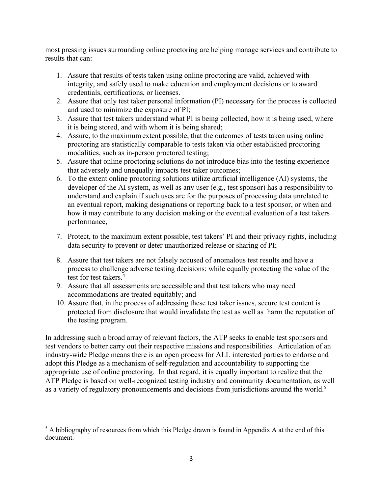most pressing issues surrounding online proctoring are helping manage services and contribute to results that can:

- 1. Assure that results of tests taken using online proctoring are valid, achieved with integrity, and safely used to make education and employment decisions or to award credentials, certifications, or licenses.
- 2. Assure that only test taker personal information (PI) necessary for the process is collected and used to minimize the exposure of PI;
- 3. Assure that test takers understand what PI is being collected, how it is being used, where it is being stored, and with whom it is being shared;
- 4. Assure, to the maximumextent possible, that the outcomes of tests taken using online proctoring are statistically comparable to tests taken via other established proctoring modalities, such as in-person proctored testing;
- 5. Assure that online proctoring solutions do not introduce bias into the testing experience that adversely and unequally impacts test taker outcomes;
- 6. To the extent online proctoring solutions utilize artificial intelligence (AI) systems, the developer of the AI system, as well as any user (e.g., test sponsor) has a responsibility to understand and explain if such uses are for the purposes of processing data unrelated to an eventual report, making designations or reporting back to a test sponsor, or when and how it may contribute to any decision making or the eventual evaluation of a test takers performance,
- 7. Protect, to the maximum extent possible, test takers' PI and their privacy rights, including data security to prevent or deter unauthorized release or sharing of PI;
- 8. Assure that test takers are not falsely accused of anomalous test results and have a process to challenge adverse testing decisions; while equally protecting the value of the test for test takers. 4
- 9. Assure that all assessments are accessible and that test takers who may need accommodations are treated equitably; and
- 10. Assure that, in the process of addressing these test taker issues, secure test content is protected from disclosure that would invalidate the test as well as harm the reputation of the testing program.

In addressing such a broad array of relevant factors, the ATP seeks to enable test sponsors and test vendors to better carry out their respective missions and responsibilities. Articulation of an industry-wide Pledge means there is an open process for ALL interested parties to endorse and adopt this Pledge as a mechanism of self-regulation and accountability to supporting the appropriate use of online proctoring. In that regard, it is equally important to realize that the ATP Pledge is based on well-recognized testing industry and community documentation, as well as a variety of regulatory pronouncements and decisions from jurisdictions around the world.<sup>5</sup>

 $<sup>5</sup>$  A bibliography of resources from which this Pledge drawn is found in Appendix A at the end of this</sup> document.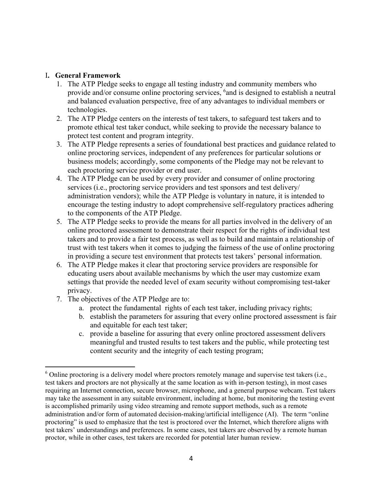#### I**. General Framework**

- 1. The ATP Pledge seeks to engage all testing industry and community members who provide and/or consume online proctoring services, <sup>6</sup> and is designed to establish a neutral and balanced evaluation perspective, free of any advantages to individual members or technologies.
- 2. The ATP Pledge centers on the interests of test takers, to safeguard test takers and to promote ethical test taker conduct, while seeking to provide the necessary balance to protect test content and program integrity.
- 3. The ATP Pledge represents a series of foundational best practices and guidance related to online proctoring services, independent of any preferences for particular solutions or business models; accordingly, some components of the Pledge may not be relevant to each proctoring service provider or end user.
- 4. The ATP Pledge can be used by every provider and consumer of online proctoring services (i.e., proctoring service providers and test sponsors and test delivery/ administration vendors); while the ATP Pledge is voluntary in nature, it is intended to encourage the testing industry to adopt comprehensive self-regulatory practices adhering to the components of the ATP Pledge.
- 5. The ATP Pledge seeks to provide the means for all parties involved in the delivery of an online proctored assessment to demonstrate their respect for the rights of individual test takers and to provide a fair test process, as well as to build and maintain a relationship of trust with test takers when it comes to judging the fairness of the use of online proctoring in providing a secure test environment that protects test takers' personal information.
- 6. The ATP Pledge makes it clear that proctoring service providers are responsible for educating users about available mechanisms by which the user may customize exam settings that provide the needed level of exam security without compromising test-taker privacy.
- 7. The objectives of the ATP Pledge are to:
	- a. protect the fundamental rights of each test taker, including privacy rights;
	- b. establish the parameters for assuring that every online proctored assessment is fair and equitable for each test taker;
	- c. provide a baseline for assuring that every online proctored assessment delivers meaningful and trusted results to test takers and the public, while protecting test content security and the integrity of each testing program;

 $6$  Online proctoring is a delivery model where proctors remotely manage and supervise test takers (i.e., test takers and proctors are not physically at the same location as with in-person testing), in most cases requiring an Internet connection, secure browser, microphone, and a general purpose webcam. Test takers may take the assessment in any suitable environment, including at home, but monitoring the testing event is accomplished primarily using video streaming and remote support methods, such as a remote administration and/or form of automated decision-making/artificial intelligence (AI). The term "online proctoring" is used to emphasize that the test is proctored over the Internet, which therefore aligns with test takers' understandings and preferences. In some cases, test takers are observed by a remote human proctor, while in other cases, test takers are recorded for potential later human review.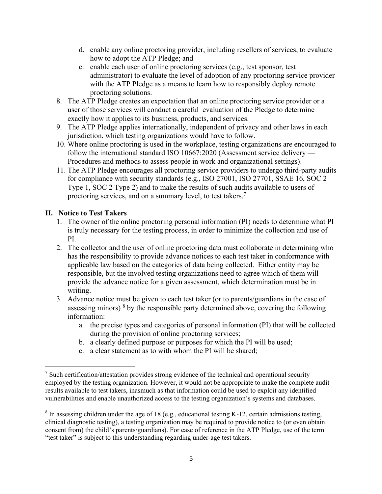- d. enable any online proctoring provider, including resellers of services, to evaluate how to adopt the ATP Pledge; and
- e. enable each user of online proctoring services (e.g., test sponsor, test administrator) to evaluate the level of adoption of any proctoring service provider with the ATP Pledge as a means to learn how to responsibly deploy remote proctoring solutions.
- 8. The ATP Pledge creates an expectation that an online proctoring service provider or a user of those services will conduct a careful evaluation of the Pledge to determine exactly how it applies to its business, products, and services.
- 9. The ATP Pledge applies internationally, independent of privacy and other laws in each jurisdiction, which testing organizations would have to follow.
- 10. Where online proctoring is used in the workplace, testing organizations are encouraged to follow the international standard ISO 10667:2020 (Assessment service delivery — Procedures and methods to assess people in work and organizational settings).
- 11. The ATP Pledge encourages all proctoring service providers to undergo third-party audits for compliance with security standards (e.g., ISO 27001, ISO 27701, SSAE 16, SOC 2 Type 1, SOC 2 Type 2) and to make the results of such audits available to users of proctoring services, and on a summary level, to test takers.7

# **II. Notice to Test Takers**

- 1. The owner of the online proctoring personal information (PI) needs to determine what PI is truly necessary for the testing process, in order to minimize the collection and use of PI.
- 2. The collector and the user of online proctoring data must collaborate in determining who has the responsibility to provide advance notices to each test taker in conformance with applicable law based on the categories of data being collected. Either entity may be responsible, but the involved testing organizations need to agree which of them will provide the advance notice for a given assessment, which determination must be in writing.
- 3. Advance notice must be given to each test taker (or to parents/guardians in the case of assessing minors)  $8$  by the responsible party determined above, covering the following information:
	- a. the precise types and categories of personal information (PI) that will be collected during the provision of online proctoring services;
	- b. a clearly defined purpose or purposes for which the PI will be used;
	- c. a clear statement as to with whom the PI will be shared;

 $<sup>7</sup>$  Such certification/attestation provides strong evidence of the technical and operational security</sup> employed by the testing organization. However, it would not be appropriate to make the complete audit results available to test takers, inasmuch as that information could be used to exploit any identified vulnerabilities and enable unauthorized access to the testing organization's systems and databases.

<sup>&</sup>lt;sup>8</sup> In assessing children under the age of 18 (e.g., educational testing K-12, certain admissions testing, clinical diagnostic testing), a testing organization may be required to provide notice to (or even obtain consent from) the child's parents/guardians). For ease of reference in the ATP Pledge, use of the term "test taker" is subject to this understanding regarding under-age test takers.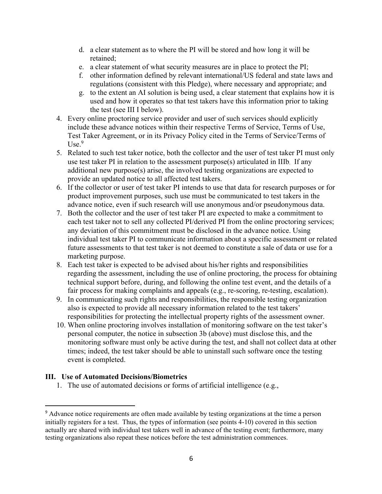- d. a clear statement as to where the PI will be stored and how long it will be retained;
- e. a clear statement of what security measures are in place to protect the PI;
- f. other information defined by relevant international/US federal and state laws and regulations (consistent with this Pledge), where necessary and appropriate; and
- g. to the extent an AI solution is being used, a clear statement that explains how it is used and how it operates so that test takers have this information prior to taking the test (see III I below).
- 4. Every online proctoring service provider and user of such services should explicitly include these advance notices within their respective Terms of Service, Terms of Use, Test Taker Agreement, or in its Privacy Policy cited in the Terms of Service/Terms of  $Use.<sup>9</sup>$
- 5. Related to such test taker notice, both the collector and the user of test taker PI must only use test taker PI in relation to the assessment purpose(s) articulated in IIIb. If any additional new purpose(s) arise, the involved testing organizations are expected to provide an updated notice to all affected test takers.
- 6. If the collector or user of test taker PI intends to use that data for research purposes or for product improvement purposes, such use must be communicated to test takers in the advance notice, even if such research will use anonymous and/or pseudonymous data.
- 7. Both the collector and the user of test taker PI are expected to make a commitment to each test taker not to sell any collected PI/derived PI from the online proctoring services; any deviation of this commitment must be disclosed in the advance notice. Using individual test taker PI to communicate information about a specific assessment or related future assessments to that test taker is not deemed to constitute a sale of data or use for a marketing purpose.
- 8. Each test taker is expected to be advised about his/her rights and responsibilities regarding the assessment, including the use of online proctoring, the process for obtaining technical support before, during, and following the online test event, and the details of a fair process for making complaints and appeals (e.g., re-scoring, re-testing, escalation).
- 9. In communicating such rights and responsibilities, the responsible testing organization also is expected to provide all necessary information related to the test takers' responsibilities for protecting the intellectual property rights of the assessment owner.
- 10. When online proctoring involves installation of monitoring software on the test taker's personal computer, the notice in subsection 3b (above) must disclose this, and the monitoring software must only be active during the test, and shall not collect data at other times; indeed, the test taker should be able to uninstall such software once the testing event is completed.

# **III. Use of Automated Decisions/Biometrics**

1. The use of automated decisions or forms of artificial intelligence (e.g.,

<sup>&</sup>lt;sup>9</sup> Advance notice requirements are often made available by testing organizations at the time a person initially registers for a test. Thus, the types of information (see points 4-10) covered in this section actually are shared with individual test takers well in advance of the testing event; furthermore, many testing organizations also repeat these notices before the test administration commences.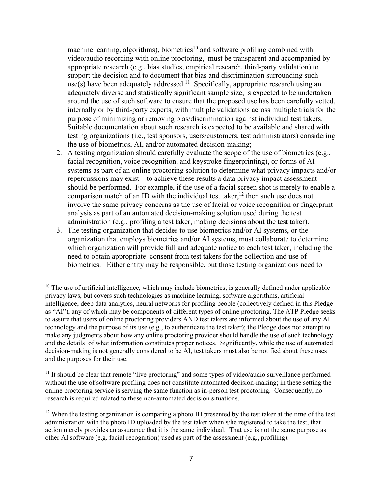machine learning, algorithms), biometrics<sup>10</sup> and software profiling combined with video/audio recording with online proctoring, must be transparent and accompanied by appropriate research (e.g., bias studies, empirical research, third-party validation) to support the decision and to document that bias and discrimination surrounding such use(s) have been adequately addressed.<sup>11</sup> Specifically, appropriate research using an adequately diverse and statistically significant sample size, is expected to be undertaken around the use of such software to ensure that the proposed use has been carefully vetted, internally or by third-party experts, with multiple validations across multiple trials for the purpose of minimizing or removing bias/discrimination against individual test takers. Suitable documentation about such research is expected to be available and shared with testing organizations (i.e., test sponsors, users/customers, test administrators) considering the use of biometrics, AI, and/or automated decision-making;

- 2. A testing organization should carefully evaluate the scope of the use of biometrics (e.g., facial recognition, voice recognition, and keystroke fingerprinting), or forms of AI systems as part of an online proctoring solution to determine what privacy impacts and/or repercussions may exist – to achieve these results a data privacy impact assessment should be performed. For example, if the use of a facial screen shot is merely to enable a comparison match of an ID with the individual test taker,  $12$  then such use does not involve the same privacy concerns as the use of facial or voice recognition or fingerprint analysis as part of an automated decision-making solution used during the test administration (e.g., profiling a test taker, making decisions about the test taker).
- 3. The testing organization that decides to use biometrics and/or AI systems, or the organization that employs biometrics and/or AI systems, must collaborate to determine which organization will provide full and adequate notice to each test taker, including the need to obtain appropriate consent from test takers for the collection and use of biometrics. Either entity may be responsible, but those testing organizations need to

 $10$  The use of artificial intelligence, which may include biometrics, is generally defined under applicable privacy laws, but covers such technologies as machine learning, software algorithms, artificial intelligence, deep data analytics, neural networks for profiling people (collectively defined in this Pledge as "AI"), any of which may be components of different types of online proctoring. The ATP Pledge seeks to assure that users of online proctoring providers AND test takers are informed about the use of any AI technology and the purpose of its use (e.g., to authenticate the test taker); the Pledge does not attempt to make any judgments about how any online proctoring provider should handle the use of such technology and the details of what information constitutes proper notices. Significantly, while the use of automated decision-making is not generally considered to be AI, test takers must also be notified about these uses and the purposes for their use.

 $11$  It should be clear that remote "live proctoring" and some types of video/audio surveillance performed without the use of software profiling does not constitute automated decision-making; in these setting the online proctoring service is serving the same function as in-person test proctoring. Consequently, no research is required related to these non-automated decision situations.

 $12$  When the testing organization is comparing a photo ID presented by the test taker at the time of the test administration with the photo ID uploaded by the test taker when s/he registered to take the test, that action merely provides an assurance that it is the same individual. That use is not the same purpose as other AI software (e.g. facial recognition) used as part of the assessment (e.g., profiling).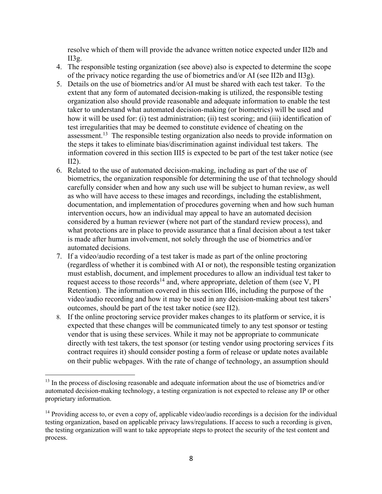resolve which of them will provide the advance written notice expected under II2b and II3g.

- 4. The responsible testing organization (see above) also is expected to determine the scope of the privacy notice regarding the use of biometrics and/or AI (see II2b and II3g).
- 5. Details on the use of biometrics and/or AI must be shared with each test taker. To the extent that any form of automated decision-making is utilized, the responsible testing organization also should provide reasonable and adequate information to enable the test taker to understand what automated decision-making (or biometrics) will be used and how it will be used for: (i) test administration; (ii) test scoring; and (iii) identification of test irregularities that may be deemed to constitute evidence of cheating on the assessment.<sup>13</sup> The responsible testing organization also needs to provide information on the steps it takes to eliminate bias/discrimination against individual test takers. The information covered in this section III5 is expected to be part of the test taker notice (see II2).
- 6. Related to the use of automated decision-making, including as part of the use of biometrics, the organization responsible for determining the use of that technology should carefully consider when and how any such use will be subject to human review, as well as who will have access to these images and recordings, including the establishment, documentation, and implementation of procedures governing when and how such human intervention occurs, how an individual may appeal to have an automated decision considered by a human reviewer (where not part of the standard review process), and what protections are in place to provide assurance that a final decision about a test taker is made after human involvement, not solely through the use of biometrics and/or automated decisions.
- 7. If a video/audio recording of a test taker is made as part of the online proctoring (regardless of whether it is combined with AI or not), the responsible testing organization must establish, document, and implement procedures to allow an individual test taker to request access to those records<sup>14</sup> and, where appropriate, deletion of them (see V, PI) Retention). The information covered in this section III6, including the purpose of the video/audio recording and how it may be used in any decision-making about test takers' outcomes, should be part of the test taker notice (see II2).
- 8. If the online proctoring service provider makes changes to its platform or service, it is expected that these changes will be communicated timely to any test sponsor or testing vendor that is using these services. While it may not be appropriate to communicate directly with test takers, the test sponsor (or testing vendor using proctoring services f its contract requires it) should consider posting a form of release or update notes available on their public webpages. With the rate of change of technology, an assumption should

<sup>&</sup>lt;sup>13</sup> In the process of disclosing reasonable and adequate information about the use of biometrics and/or automated decision-making technology, a testing organization is not expected to release any IP or other proprietary information.

<sup>&</sup>lt;sup>14</sup> Providing access to, or even a copy of, applicable video/audio recordings is a decision for the individual testing organization, based on applicable privacy laws/regulations. If access to such a recording is given, the testing organization will want to take appropriate steps to protect the security of the test content and process.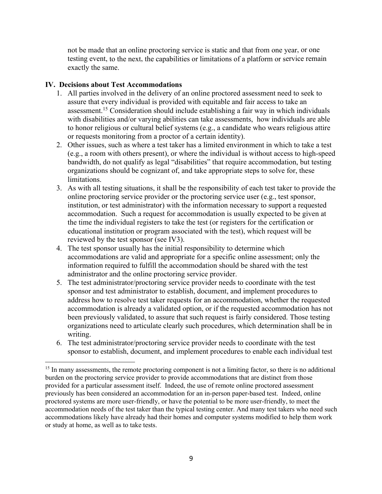not be made that an online proctoring service is static and that from one year, or one testing event, to the next, the capabilities or limitations of a platform or service remain exactly the same.

#### **IV. Decisions about Test Accommodations**

- 1. All parties involved in the delivery of an online proctored assessment need to seek to assure that every individual is provided with equitable and fair access to take an assessment.15 Consideration should include establishing a fair way in which individuals with disabilities and/or varying abilities can take assessments, how individuals are able to honor religious or cultural belief systems (e.g., a candidate who wears religious attire or requests monitoring from a proctor of a certain identity).
- 2. Other issues, such as where a test taker has a limited environment in which to take a test (e.g., a room with others present), or where the individual is without access to high-speed bandwidth, do not qualify as legal "disabilities" that require accommodation, but testing organizations should be cognizant of, and take appropriate steps to solve for, these limitations.
- 3. As with all testing situations, it shall be the responsibility of each test taker to provide the online proctoring service provider or the proctoring service user (e.g., test sponsor, institution, or test administrator) with the information necessary to support a requested accommodation. Such a request for accommodation is usually expected to be given at the time the individual registers to take the test (or registers for the certification or educational institution or program associated with the test), which request will be reviewed by the test sponsor (see IV3).
- 4. The test sponsor usually has the initial responsibility to determine which accommodations are valid and appropriate for a specific online assessment; only the information required to fulfill the accommodation should be shared with the test administrator and the online proctoring service provider.
- 5. The test administrator/proctoring service provider needs to coordinate with the test sponsor and test administrator to establish, document, and implement procedures to address how to resolve test taker requests for an accommodation, whether the requested accommodation is already a validated option, or if the requested accommodation has not been previously validated, to assure that such request is fairly considered. Those testing organizations need to articulate clearly such procedures, which determination shall be in writing.
- 6. The test administrator/proctoring service provider needs to coordinate with the test sponsor to establish, document, and implement procedures to enable each individual test

<sup>&</sup>lt;sup>15</sup> In many assessments, the remote proctoring component is not a limiting factor, so there is no additional burden on the proctoring service provider to provide accommodations that are distinct from those provided for a particular assessment itself. Indeed, the use of remote online proctored assessment previously has been considered an accommodation for an in-person paper-based test. Indeed, online proctored systems are more user-friendly, or have the potential to be more user-friendly, to meet the accommodation needs of the test taker than the typical testing center. And many test takers who need such accommodations likely have already had their homes and computer systems modified to help them work or study at home, as well as to take tests.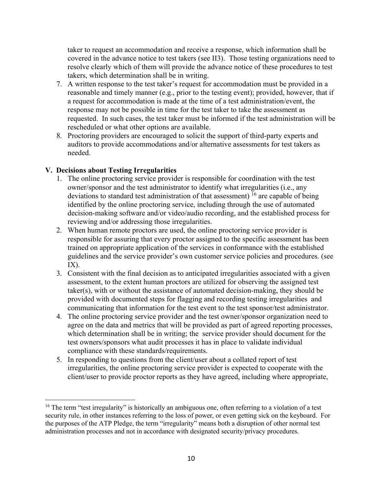taker to request an accommodation and receive a response, which information shall be covered in the advance notice to test takers (see II3). Those testing organizations need to resolve clearly which of them will provide the advance notice of these procedures to test takers, which determination shall be in writing.

- 7. A written response to the test taker's request for accommodation must be provided in a reasonable and timely manner (e.g., prior to the testing event); provided, however, that if a request for accommodation is made at the time of a test administration/event, the response may not be possible in time for the test taker to take the assessment as requested. In such cases, the test taker must be informed if the test administration will be rescheduled or what other options are available.
- 8. Proctoring providers are encouraged to solicit the support of third-party experts and auditors to provide accommodations and/or alternative assessments for test takers as needed.

# **V. Decisions about Testing Irregularities**

- 1. The online proctoring service provider is responsible for coordination with the test owner/sponsor and the test administrator to identify what irregularities (i.e., any deviations to standard test administration of that assessment) <sup>16</sup> are capable of being identified by the online proctoring service, including through the use of automated decision-making software and/or video/audio recording, and the established process for reviewing and/or addressing those irregularities.
- 2. When human remote proctors are used, the online proctoring service provider is responsible for assuring that every proctor assigned to the specific assessment has been trained on appropriate application of the services in conformance with the established guidelines and the service provider's own customer service policies and procedures. (see  $IX$ ).
- 3. Consistent with the final decision as to anticipated irregularities associated with a given assessment, to the extent human proctors are utilized for observing the assigned test taker(s), with or without the assistance of automated decision-making, they should be provided with documented steps for flagging and recording testing irregularities and communicating that information for the test event to the test sponsor/test administrator.
- 4. The online proctoring service provider and the test owner/sponsor organization need to agree on the data and metrics that will be provided as part of agreed reporting processes, which determination shall be in writing; the service provider should document for the test owners/sponsors what audit processes it has in place to validate individual compliance with these standards/requirements.
- 5. In responding to questions from the client/user about a collated report of test irregularities, the online proctoring service provider is expected to cooperate with the client/user to provide proctor reports as they have agreed, including where appropriate,

<sup>&</sup>lt;sup>16</sup> The term "test irregularity" is historically an ambiguous one, often referring to a violation of a test security rule, in other instances referring to the loss of power, or even getting sick on the keyboard. For the purposes of the ATP Pledge, the term "irregularity" means both a disruption of other normal test administration processes and not in accordance with designated security/privacy procedures.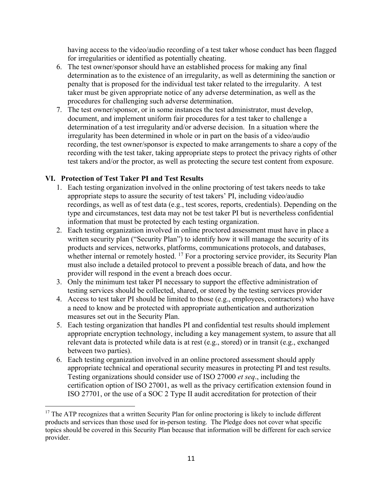having access to the video/audio recording of a test taker whose conduct has been flagged for irregularities or identified as potentially cheating.

- 6. The test owner/sponsor should have an established process for making any final determination as to the existence of an irregularity, as well as determining the sanction or penalty that is proposed for the individual test taker related to the irregularity. A test taker must be given appropriate notice of any adverse determination, as well as the procedures for challenging such adverse determination.
- 7. The test owner/sponsor, or in some instances the test administrator, must develop, document, and implement uniform fair procedures for a test taker to challenge a determination of a test irregularity and/or adverse decision. In a situation where the irregularity has been determined in whole or in part on the basis of a video/audio recording, the test owner/sponsor is expected to make arrangements to share a copy of the recording with the test taker, taking appropriate steps to protect the privacy rights of other test takers and/or the proctor, as well as protecting the secure test content from exposure.

# **VI. Protection of Test Taker PI and Test Results**

- 1. Each testing organization involved in the online proctoring of test takers needs to take appropriate steps to assure the security of test takers' PI, including video/audio recordings, as well as of test data (e.g., test scores, reports, credentials). Depending on the type and circumstances, test data may not be test taker PI but is nevertheless confidential information that must be protected by each testing organization.
- 2. Each testing organization involved in online proctored assessment must have in place a written security plan ("Security Plan") to identify how it will manage the security of its products and services, networks, platforms, communications protocols, and databases, whether internal or remotely hosted. <sup>17</sup> For a proctoring service provider, its Security Plan must also include a detailed protocol to prevent a possible breach of data, and how the provider will respond in the event a breach does occur.
- 3. Only the minimum test taker PI necessary to support the effective administration of testing services should be collected, shared, or stored by the testing services provider
- 4. Access to test taker PI should be limited to those (e.g., employees, contractors) who have a need to know and be protected with appropriate authentication and authorization measures set out in the Security Plan.
- 5. Each testing organization that handles PI and confidential test results should implement appropriate encryption technology, including a key management system, to assure that all relevant data is protected while data is at rest (e.g., stored) or in transit (e.g., exchanged between two parties).
- 6. Each testing organization involved in an online proctored assessment should apply appropriate technical and operational security measures in protecting PI and test results. Testing organizations should consider use of ISO 27000 *et seq*., including the certification option of ISO 27001, as well as the privacy certification extension found in ISO 27701, or the use of a SOC 2 Type II audit accreditation for protection of their

<sup>&</sup>lt;sup>17</sup> The ATP recognizes that a written Security Plan for online proctoring is likely to include different products and services than those used for in-person testing. The Pledge does not cover what specific topics should be covered in this Security Plan because that information will be different for each service provider.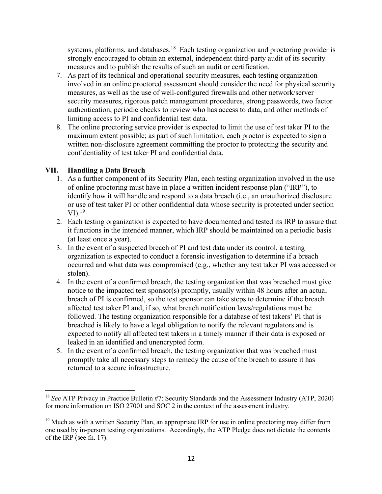systems, platforms, and databases.<sup>18</sup> Each testing organization and proctoring provider is strongly encouraged to obtain an external, independent third-party audit of its security measures and to publish the results of such an audit or certification.

- 7. As part of its technical and operational security measures, each testing organization involved in an online proctored assessment should consider the need for physical security measures, as well as the use of well-configured firewalls and other network/server security measures, rigorous patch management procedures, strong passwords, two factor authentication, periodic checks to review who has access to data, and other methods of limiting access to PI and confidential test data.
- 8. The online proctoring service provider is expected to limit the use of test taker PI to the maximum extent possible; as part of such limitation, each proctor is expected to sign a written non-disclosure agreement committing the proctor to protecting the security and confidentiality of test taker PI and confidential data.

# **VII. Handling a Data Breach**

- 1. As a further component of its Security Plan, each testing organization involved in the use of online proctoring must have in place a written incident response plan ("IRP"), to identify how it will handle and respond to a data breach (i.e., an unauthorized disclosure or use of test taker PI or other confidential data whose security is protected under section  $VI$ ).<sup>19</sup>
- 2. Each testing organization is expected to have documented and tested its IRP to assure that it functions in the intended manner, which IRP should be maintained on a periodic basis (at least once a year).
- 3. In the event of a suspected breach of PI and test data under its control, a testing organization is expected to conduct a forensic investigation to determine if a breach occurred and what data was compromised (e.g., whether any test taker PI was accessed or stolen).
- 4. In the event of a confirmed breach, the testing organization that was breached must give notice to the impacted test sponsor(s) promptly, usually within 48 hours after an actual breach of PI is confirmed, so the test sponsor can take steps to determine if the breach affected test taker PI and, if so, what breach notification laws/regulations must be followed. The testing organization responsible for a database of test takers' PI that is breached is likely to have a legal obligation to notify the relevant regulators and is expected to notify all affected test takers in a timely manner if their data is exposed or leaked in an identified and unencrypted form.
- 5. In the event of a confirmed breach, the testing organization that was breached must promptly take all necessary steps to remedy the cause of the breach to assure it has returned to a secure infrastructure.

<sup>18</sup> *See* ATP Privacy in Practice Bulletin #7: Security Standards and the Assessment Industry (ATP, 2020) for more information on ISO 27001 and SOC 2 in the context of the assessment industry.

<sup>&</sup>lt;sup>19</sup> Much as with a written Security Plan, an appropriate IRP for use in online proctoring may differ from one used by in-person testing organizations. Accordingly, the ATP Pledge does not dictate the contents of the IRP (see fn. 17).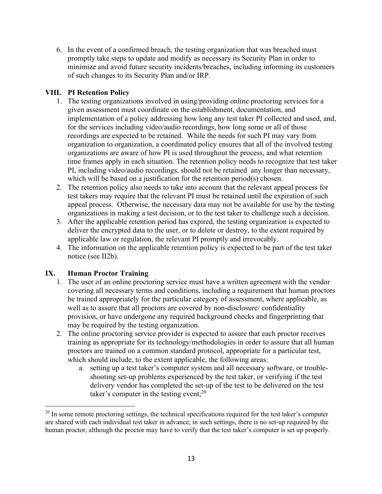6. In the event of a confirmed breach, the testing organization that was breached must promptly take steps to update and modify as necessary its Security Plan in order to minimize and avoid future security incidents/breaches, including informing its customers of such changes to its Security Plan and/or IRP.

# **VIII. PI Retention Policy**

- 1. The testing organizations involved in using/providing online proctoring services for a given assessment must coordinate on the establishment, documentation, and implementation of a policy addressing how long any test taker PI collected and used, and, for the services including video/audio recordings, how long some or all of those recordings are expected to be retained. While the needs for such PI may vary from organization to organization, a coordinated policy ensures that all of the involved testing organizations are aware of how PI is used throughout the process, and what retention time frames apply in each situation. The retention policy needs to recognize that test taker PI, including video/audio recordings, should not be retained any longer than necessary, which will be based on a justification for the retention period(s) chosen.
- 2. The retention policy also needs to take into account that the relevant appeal process for test takers may require that the relevant PI must be retained until the expiration of such appeal process. Otherwise, the necessary data may not be available for use by the testing organizations in making a test decision, or to the test taker to challenge such a decision.
- 3. After the applicable retention period has expired, the testing organization is expected to deliver the encrypted data to the user, or to delete or destroy, to the extent required by applicable law or regulation, the relevant PI promptly and irrevocably.
- 4. The information on the applicable retention policy is expected to be part of the test taker notice (see II2b).

# **IX. Human Proctor Training**

- 1. The user of an online proctoring service must have a written agreement with the vendor covering all necessary terms and conditions, including a requirement that human proctors be trained appropriately for the particular category of assessment, where applicable, as well as to assure that all proctors are covered by non-disclosure/ confidentiality provision, or have undergone any required background checks and fingerprinting that may be required by the testing organization.
- 2. The online proctoring service provider is expected to assure that each proctor receives training as appropriate for its technology/methodologies in order to assure that all human proctors are trained on a common standard protocol, appropriate for a particular test, which should include, to the extent applicable, the following areas:
	- a. setting up a test taker's computer system and all necessary software, or troubleshooting set-up problems experienced by the test taker, or verifying if the test delivery vendor has completed the set-up of the test to be delivered on the test taker's computer in the testing event; $^{20}$

 $20$  In some remote proctoring settings, the technical specifications required for the test taker's computer are shared with each individual test taker in advance; in such settings, there is no set-up required by the human proctor, although the proctor may have to verify that the test taker's computer is set up properly.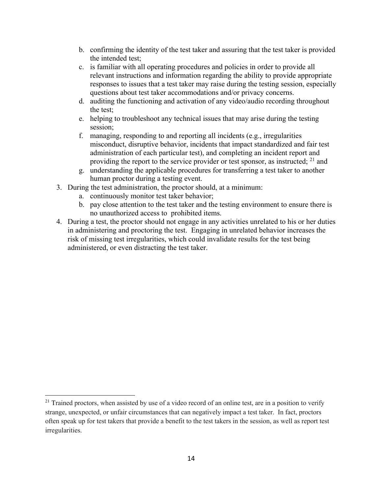- b. confirming the identity of the test taker and assuring that the test taker is provided the intended test;
- c. is familiar with all operating procedures and policies in order to provide all relevant instructions and information regarding the ability to provide appropriate responses to issues that a test taker may raise during the testing session, especially questions about test taker accommodations and/or privacy concerns.
- d. auditing the functioning and activation of any video/audio recording throughout the test;
- e. helping to troubleshoot any technical issues that may arise during the testing session;
- f. managing, responding to and reporting all incidents (e.g., irregularities misconduct, disruptive behavior, incidents that impact standardized and fair test administration of each particular test), and completing an incident report and providing the report to the service provider or test sponsor, as instructed; <sup>21</sup> and
- g. understanding the applicable procedures for transferring a test taker to another human proctor during a testing event.
- 3. During the test administration, the proctor should, at a minimum:
	- a. continuously monitor test taker behavior;
	- b. pay close attention to the test taker and the testing environment to ensure there is no unauthorized access to prohibited items.
- 4. During a test, the proctor should not engage in any activities unrelated to his or her duties in administering and proctoring the test. Engaging in unrelated behavior increases the risk of missing test irregularities, which could invalidate results for the test being administered, or even distracting the test taker.

<sup>&</sup>lt;sup>21</sup> Trained proctors, when assisted by use of a video record of an online test, are in a position to verify strange, unexpected, or unfair circumstances that can negatively impact a test taker. In fact, proctors often speak up for test takers that provide a benefit to the test takers in the session, as well as report test irregularities.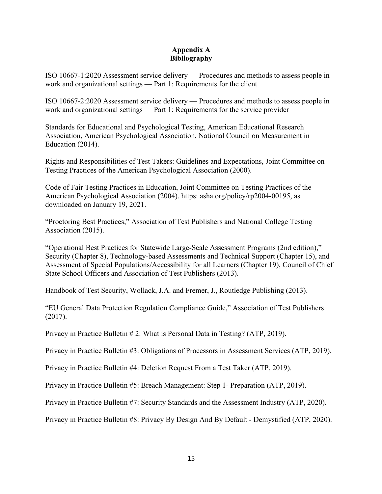#### **Appendix A Bibliography**

ISO 10667-1:2020 Assessment service delivery — Procedures and methods to assess people in work and organizational settings — Part 1: Requirements for the client

ISO 10667-2:2020 Assessment service delivery — Procedures and methods to assess people in work and organizational settings — Part 1: Requirements for the service provider

Standards for Educational and Psychological Testing, American Educational Research Association, American Psychological Association, National Council on Measurement in Education (2014).

Rights and Responsibilities of Test Takers: Guidelines and Expectations, Joint Committee on Testing Practices of the American Psychological Association (2000).

Code of Fair Testing Practices in Education, Joint Committee on Testing Practices of the American Psychological Association (2004). https: asha.org/policy/rp2004-00195, as downloaded on January 19, 2021.

"Proctoring Best Practices," Association of Test Publishers and National College Testing Association (2015).

"Operational Best Practices for Statewide Large-Scale Assessment Programs (2nd edition)," Security (Chapter 8), Technology-based Assessments and Technical Support (Chapter 15), and Assessment of Special Populations/Accessibility for all Learners (Chapter 19), Council of Chief State School Officers and Association of Test Publishers (2013).

Handbook of Test Security, Wollack, J.A. and Fremer, J., Routledge Publishing (2013).

"EU General Data Protection Regulation Compliance Guide," Association of Test Publishers (2017).

Privacy in Practice Bulletin # 2: What is Personal Data in Testing? (ATP, 2019).

Privacy in Practice Bulletin #3: Obligations of Processors in Assessment Services (ATP, 2019).

Privacy in Practice Bulletin #4: Deletion Request From a Test Taker (ATP, 2019).

Privacy in Practice Bulletin #5: Breach Management: Step 1- Preparation (ATP, 2019).

Privacy in Practice Bulletin #7: Security Standards and the Assessment Industry (ATP, 2020).

Privacy in Practice Bulletin #8: Privacy By Design And By Default - Demystified (ATP, 2020).